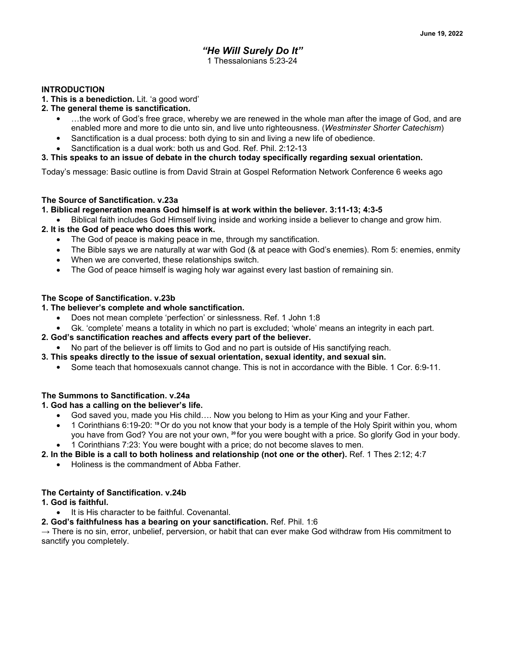## *"He Will Surely Do It"* 1 Thessalonians 5:23-24

#### **INTRODUCTION**

**1. This is a benediction.** Lit. 'a good word'

#### **2. The general theme is sanctification.**

- ...the work of God's free grace, whereby we are renewed in the whole man after the image of God, and are enabled more and more to die unto sin, and live unto righteousness. (*Westminster Shorter Catechism*)
- Sanctification is a dual process: both dying to sin and living a new life of obedience.
- Sanctification is a dual work: both us and God. Ref. Phil. 2:12-13

## **3. This speaks to an issue of debate in the church today specifically regarding sexual orientation.**

Today's message: Basic outline is from David Strain at Gospel Reformation Network Conference 6 weeks ago

## **The Source of Sanctification. v.23a**

#### **1. Biblical regeneration means God himself is at work within the believer. 3:11-13; 4:3-5**

Biblical faith includes God Himself living inside and working inside a believer to change and grow him.

## **2. It is the God of peace who does this work.**

- The God of peace is making peace in me, through my sanctification.
- The Bible says we are naturally at war with God (& at peace with God's enemies). Rom 5: enemies, enmity
- When we are converted, these relationships switch.
- The God of peace himself is waging holy war against every last bastion of remaining sin.

## **The Scope of Sanctification. v.23b**

## **1. The believer's complete and whole sanctification.**

- Does not mean complete 'perfection' or sinlessness. Ref. 1 John 1:8
- Gk. 'complete' means a totality in which no part is excluded; 'whole' means an integrity in each part.

#### **2. God's sanctification reaches and affects every part of the believer.**

- No part of the believer is off limits to God and no part is outside of His sanctifying reach.
- **3. This speaks directly to the issue of sexual orientation, sexual identity, and sexual sin.**
	- Some teach that homosexuals cannot change. This is not in accordance with the Bible. 1 Cor. 6:9-11.

## **The Summons to Sanctification. v.24a**

## **1. God has a calling on the believer's life.**

- God saved you, made you His child.... Now you belong to Him as your King and your Father.
- x 1 Corinthians 6:19-20: **19** Or do you not know that your body is a temple of the Holy Spirit within you, whom you have from God? You are not your own, **20** for you were bought with a price. So glorify God in your body.
- 1 Corinthians 7:23: You were bought with a price; do not become slaves to men.

## **2. In the Bible is a call to both holiness and relationship (not one or the other).** Ref. 1 Thes 2:12; 4:7

• Holiness is the commandment of Abba Father.

#### **The Certainty of Sanctification. v.24b**

#### **1. God is faithful.**

- It is His character to be faithful. Covenantal.
- **2. God's faithfulness has a bearing on your sanctification.** Ref. Phil. 1:6

 $\rightarrow$  There is no sin, error, unbelief, perversion, or habit that can ever make God withdraw from His commitment to sanctify you completely.